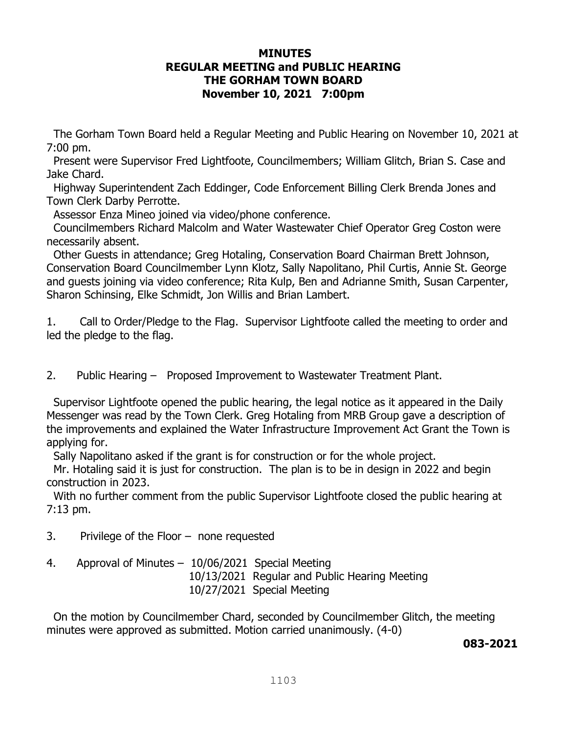# **MINUTES REGULAR MEETING and PUBLIC HEARING THE GORHAM TOWN BOARD November 10, 2021 7:00pm**

The Gorham Town Board held a Regular Meeting and Public Hearing on November 10, 2021 at 7:00 pm.

 Present were Supervisor Fred Lightfoote, Councilmembers; William Glitch, Brian S. Case and Jake Chard.

 Highway Superintendent Zach Eddinger, Code Enforcement Billing Clerk Brenda Jones and Town Clerk Darby Perrotte.

Assessor Enza Mineo joined via video/phone conference.

 Councilmembers Richard Malcolm and Water Wastewater Chief Operator Greg Coston were necessarily absent.

 Other Guests in attendance; Greg Hotaling, Conservation Board Chairman Brett Johnson, Conservation Board Councilmember Lynn Klotz, Sally Napolitano, Phil Curtis, Annie St. George and guests joining via video conference; Rita Kulp, Ben and Adrianne Smith, Susan Carpenter, Sharon Schinsing, Elke Schmidt, Jon Willis and Brian Lambert.

1. Call to Order/Pledge to the Flag. Supervisor Lightfoote called the meeting to order and led the pledge to the flag.

2. Public Hearing – Proposed Improvement to Wastewater Treatment Plant.

 Supervisor Lightfoote opened the public hearing, the legal notice as it appeared in the Daily Messenger was read by the Town Clerk. Greg Hotaling from MRB Group gave a description of the improvements and explained the Water Infrastructure Improvement Act Grant the Town is applying for.

Sally Napolitano asked if the grant is for construction or for the whole project.

 Mr. Hotaling said it is just for construction. The plan is to be in design in 2022 and begin construction in 2023.

 With no further comment from the public Supervisor Lightfoote closed the public hearing at 7:13 pm.

- 3. Privilege of the Floor none requested
- 4. Approval of Minutes 10/06/2021 Special Meeting 10/13/2021 Regular and Public Hearing Meeting 10/27/2021 Special Meeting

 On the motion by Councilmember Chard, seconded by Councilmember Glitch, the meeting minutes were approved as submitted. Motion carried unanimously. (4-0)

**083-2021**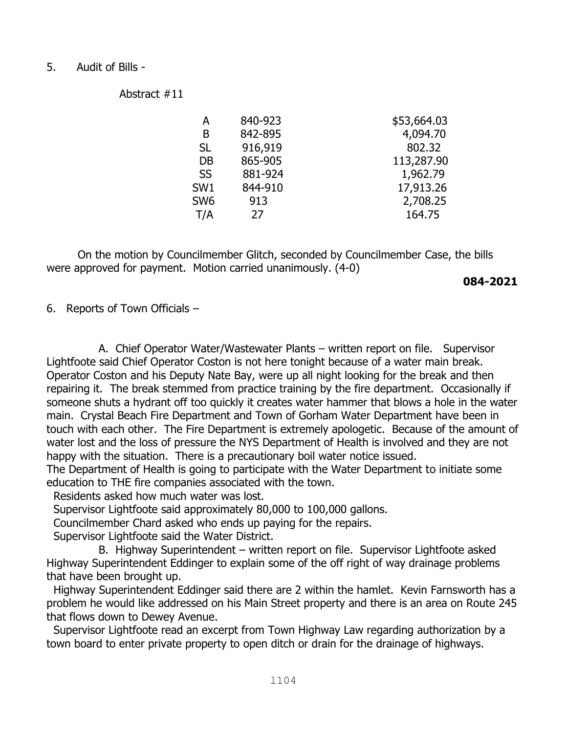#### 5. Audit of Bills -

Abstract #11

| А               | 840-923 | \$53,664.03 |
|-----------------|---------|-------------|
| Β               | 842-895 | 4,094.70    |
| <b>SL</b>       | 916,919 | 802.32      |
| DB              | 865-905 | 113,287.90  |
| <b>SS</b>       | 881-924 | 1,962.79    |
| SW <sub>1</sub> | 844-910 | 17,913.26   |
| SW <sub>6</sub> | 913     | 2,708.25    |
| T/A             | 27      | 164.75      |
|                 |         |             |

 On the motion by Councilmember Glitch, seconded by Councilmember Case, the bills were approved for payment. Motion carried unanimously. (4-0)

#### **084-2021**

6. Reports of Town Officials –

 A. Chief Operator Water/Wastewater Plants – written report on file. Supervisor Lightfoote said Chief Operator Coston is not here tonight because of a water main break. Operator Coston and his Deputy Nate Bay, were up all night looking for the break and then repairing it. The break stemmed from practice training by the fire department. Occasionally if someone shuts a hydrant off too quickly it creates water hammer that blows a hole in the water main. Crystal Beach Fire Department and Town of Gorham Water Department have been in touch with each other. The Fire Department is extremely apologetic. Because of the amount of water lost and the loss of pressure the NYS Department of Health is involved and they are not happy with the situation. There is a precautionary boil water notice issued.

The Department of Health is going to participate with the Water Department to initiate some education to THE fire companies associated with the town.

Residents asked how much water was lost.

Supervisor Lightfoote said approximately 80,000 to 100,000 gallons.

Councilmember Chard asked who ends up paying for the repairs.

Supervisor Lightfoote said the Water District.

 B. Highway Superintendent – written report on file. Supervisor Lightfoote asked Highway Superintendent Eddinger to explain some of the off right of way drainage problems that have been brought up.

 Highway Superintendent Eddinger said there are 2 within the hamlet. Kevin Farnsworth has a problem he would like addressed on his Main Street property and there is an area on Route 245 that flows down to Dewey Avenue.

 Supervisor Lightfoote read an excerpt from Town Highway Law regarding authorization by a town board to enter private property to open ditch or drain for the drainage of highways.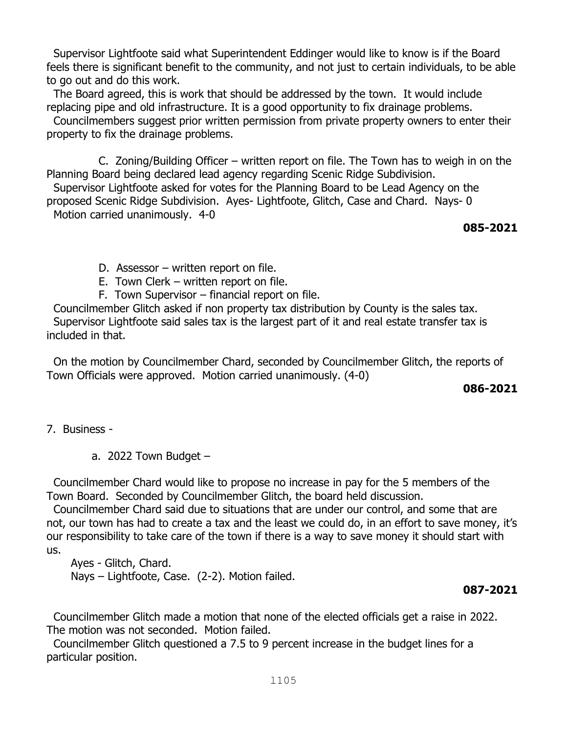Supervisor Lightfoote said what Superintendent Eddinger would like to know is if the Board feels there is significant benefit to the community, and not just to certain individuals, to be able to go out and do this work.

 The Board agreed, this is work that should be addressed by the town. It would include replacing pipe and old infrastructure. It is a good opportunity to fix drainage problems.

 Councilmembers suggest prior written permission from private property owners to enter their property to fix the drainage problems.

 C. Zoning/Building Officer – written report on file. The Town has to weigh in on the Planning Board being declared lead agency regarding Scenic Ridge Subdivision.

 Supervisor Lightfoote asked for votes for the Planning Board to be Lead Agency on the proposed Scenic Ridge Subdivision. Ayes- Lightfoote, Glitch, Case and Chard. Nays- 0 Motion carried unanimously. 4-0

**085-2021**

D. Assessor – written report on file.

- E. Town Clerk written report on file.
- F. Town Supervisor financial report on file.

Councilmember Glitch asked if non property tax distribution by County is the sales tax. Supervisor Lightfoote said sales tax is the largest part of it and real estate transfer tax is included in that.

 On the motion by Councilmember Chard, seconded by Councilmember Glitch, the reports of Town Officials were approved. Motion carried unanimously. (4-0)

**086-2021** 

7. Business -

a. 2022 Town Budget  $-$ 

Councilmember Chard would like to propose no increase in pay for the 5 members of the Town Board. Seconded by Councilmember Glitch, the board held discussion.

 Councilmember Chard said due to situations that are under our control, and some that are not, our town has had to create a tax and the least we could do, in an effort to save money, it's our responsibility to take care of the town if there is a way to save money it should start with us.

 Ayes - Glitch, Chard. Nays – Lightfoote, Case. (2-2). Motion failed.

# **087-2021**

 Councilmember Glitch made a motion that none of the elected officials get a raise in 2022. The motion was not seconded. Motion failed.

 Councilmember Glitch questioned a 7.5 to 9 percent increase in the budget lines for a particular position.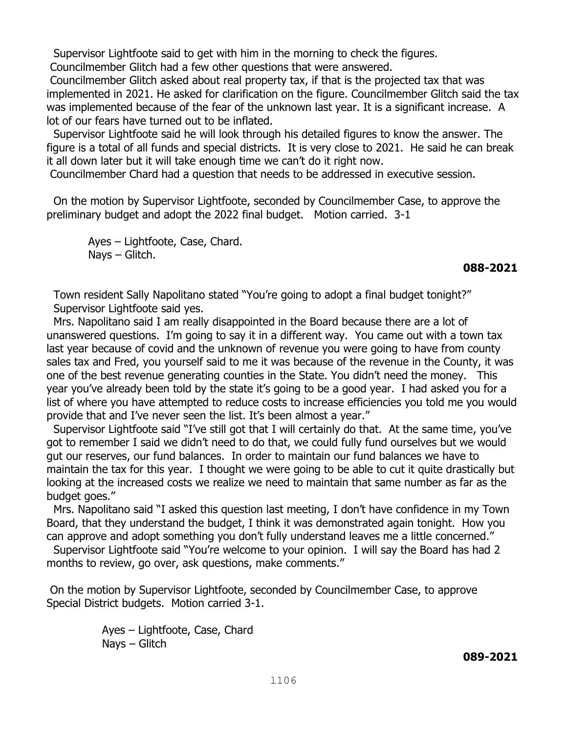Supervisor Lightfoote said to get with him in the morning to check the figures.

Councilmember Glitch had a few other questions that were answered.

Councilmember Glitch asked about real property tax, if that is the projected tax that was implemented in 2021. He asked for clarification on the figure. Councilmember Glitch said the tax was implemented because of the fear of the unknown last year. It is a significant increase. A lot of our fears have turned out to be inflated.

 Supervisor Lightfoote said he will look through his detailed figures to know the answer. The figure is a total of all funds and special districts. It is very close to 2021. He said he can break it all down later but it will take enough time we can't do it right now.

Councilmember Chard had a question that needs to be addressed in executive session.

 On the motion by Supervisor Lightfoote, seconded by Councilmember Case, to approve the preliminary budget and adopt the 2022 final budget. Motion carried. 3-1

 Ayes – Lightfoote, Case, Chard. Nays – Glitch.

## **088-2021**

 Town resident Sally Napolitano stated "You're going to adopt a final budget tonight?" Supervisor Lightfoote said yes.

 Mrs. Napolitano said I am really disappointed in the Board because there are a lot of unanswered questions. I'm going to say it in a different way. You came out with a town tax last year because of covid and the unknown of revenue you were going to have from county sales tax and Fred, you yourself said to me it was because of the revenue in the County, it was one of the best revenue generating counties in the State. You didn't need the money. This year you've already been told by the state it's going to be a good year. I had asked you for a list of where you have attempted to reduce costs to increase efficiencies you told me you would provide that and I've never seen the list. It's been almost a year."

 Supervisor Lightfoote said "I've still got that I will certainly do that. At the same time, you've got to remember I said we didn't need to do that, we could fully fund ourselves but we would gut our reserves, our fund balances. In order to maintain our fund balances we have to maintain the tax for this year. I thought we were going to be able to cut it quite drastically but looking at the increased costs we realize we need to maintain that same number as far as the budget goes."

 Mrs. Napolitano said "I asked this question last meeting, I don't have confidence in my Town Board, that they understand the budget, I think it was demonstrated again tonight. How you can approve and adopt something you don't fully understand leaves me a little concerned."

 Supervisor Lightfoote said "You're welcome to your opinion. I will say the Board has had 2 months to review, go over, ask questions, make comments."

On the motion by Supervisor Lightfoote, seconded by Councilmember Case, to approve Special District budgets. Motion carried 3-1.

> Ayes – Lightfoote, Case, Chard Nays – Glitch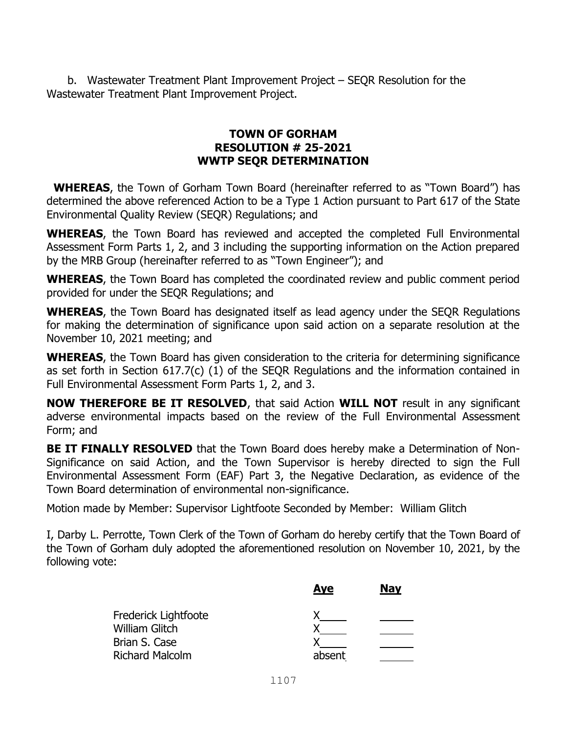b. Wastewater Treatment Plant Improvement Project – SEQR Resolution for the Wastewater Treatment Plant Improvement Project.

# **TOWN OF GORHAM RESOLUTION # 25-2021 WWTP SEQR DETERMINATION**

 **WHEREAS**, the Town of Gorham Town Board (hereinafter referred to as "Town Board") has determined the above referenced Action to be a Type 1 Action pursuant to Part 617 of the State Environmental Quality Review (SEQR) Regulations; and

**WHEREAS**, the Town Board has reviewed and accepted the completed Full Environmental Assessment Form Parts 1, 2, and 3 including the supporting information on the Action prepared by the MRB Group (hereinafter referred to as "Town Engineer"); and

**WHEREAS**, the Town Board has completed the coordinated review and public comment period provided for under the SEQR Regulations; and

**WHEREAS**, the Town Board has designated itself as lead agency under the SEQR Regulations for making the determination of significance upon said action on a separate resolution at the November 10, 2021 meeting; and

**WHEREAS**, the Town Board has given consideration to the criteria for determining significance as set forth in Section 617.7(c) (1) of the SEQR Regulations and the information contained in Full Environmental Assessment Form Parts 1, 2, and 3.

**NOW THEREFORE BE IT RESOLVED**, that said Action **WILL NOT** result in any significant adverse environmental impacts based on the review of the Full Environmental Assessment Form; and

**BE IT FINALLY RESOLVED** that the Town Board does hereby make a Determination of Non-Significance on said Action, and the Town Supervisor is hereby directed to sign the Full Environmental Assessment Form (EAF) Part 3, the Negative Declaration, as evidence of the Town Board determination of environmental non-significance.

Motion made by Member: Supervisor Lightfoote Seconded by Member: William Glitch

I, Darby L. Perrotte, Town Clerk of the Town of Gorham do hereby certify that the Town Board of the Town of Gorham duly adopted the aforementioned resolution on November 10, 2021, by the following vote:

| <b>Aye</b> | <b>Nay</b> |
|------------|------------|
|            |            |
|            |            |
|            |            |
| absent     |            |
|            |            |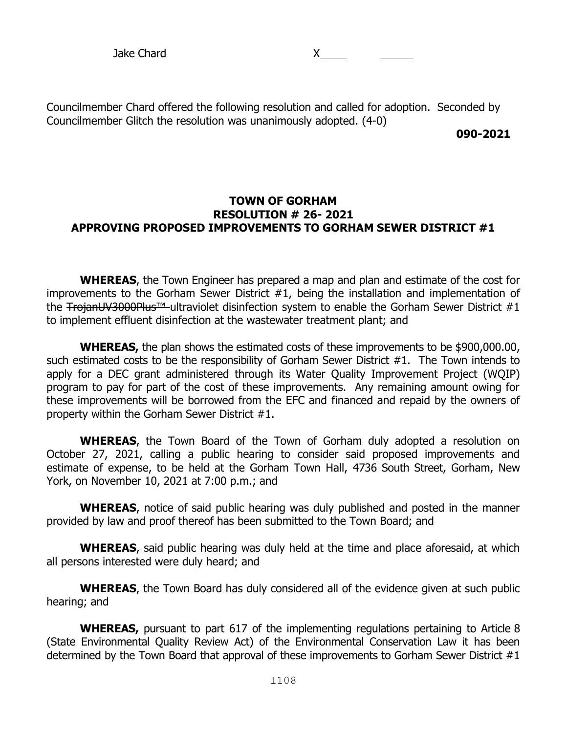Councilmember Chard offered the following resolution and called for adoption. Seconded by Councilmember Glitch the resolution was unanimously adopted. (4-0)

**090-2021**

#### **TOWN OF GORHAM RESOLUTION # 26- 2021 APPROVING PROPOSED IMPROVEMENTS TO GORHAM SEWER DISTRICT #1**

**WHEREAS**, the Town Engineer has prepared a map and plan and estimate of the cost for improvements to the Gorham Sewer District #1, being the installation and implementation of the TrojanUV3000Plus™ ultraviolet disinfection system to enable the Gorham Sewer District #1 to implement effluent disinfection at the wastewater treatment plant; and

**WHEREAS,** the plan shows the estimated costs of these improvements to be \$900,000.00, such estimated costs to be the responsibility of Gorham Sewer District #1. The Town intends to apply for a DEC grant administered through its Water Quality Improvement Project (WQIP) program to pay for part of the cost of these improvements. Any remaining amount owing for these improvements will be borrowed from the EFC and financed and repaid by the owners of property within the Gorham Sewer District #1.

**WHEREAS**, the Town Board of the Town of Gorham duly adopted a resolution on October 27, 2021, calling a public hearing to consider said proposed improvements and estimate of expense, to be held at the Gorham Town Hall, 4736 South Street, Gorham, New York, on November 10, 2021 at 7:00 p.m.; and

**WHEREAS**, notice of said public hearing was duly published and posted in the manner provided by law and proof thereof has been submitted to the Town Board; and

**WHEREAS**, said public hearing was duly held at the time and place aforesaid, at which all persons interested were duly heard; and

**WHEREAS**, the Town Board has duly considered all of the evidence given at such public hearing; and

WHEREAS, pursuant to part 617 of the implementing regulations pertaining to Article 8 (State Environmental Quality Review Act) of the Environmental Conservation Law it has been determined by the Town Board that approval of these improvements to Gorham Sewer District #1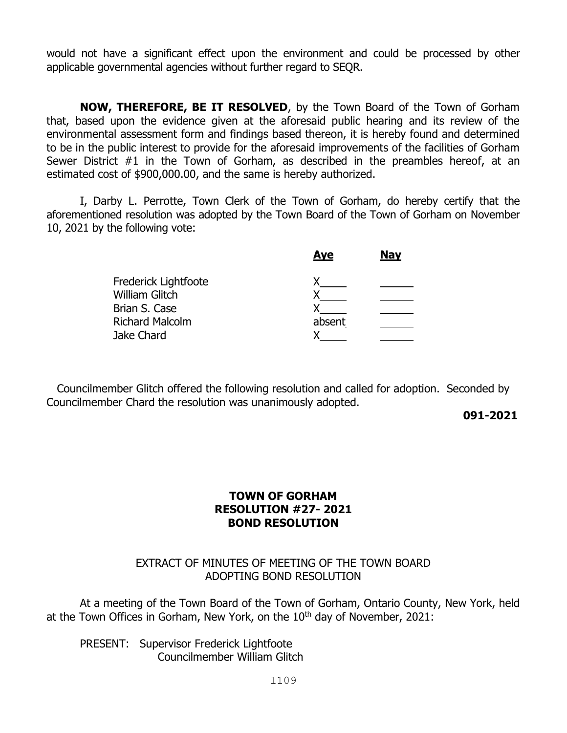would not have a significant effect upon the environment and could be processed by other applicable governmental agencies without further regard to SEQR.

**NOW, THEREFORE, BE IT RESOLVED**, by the Town Board of the Town of Gorham that, based upon the evidence given at the aforesaid public hearing and its review of the environmental assessment form and findings based thereon, it is hereby found and determined to be in the public interest to provide for the aforesaid improvements of the facilities of Gorham Sewer District #1 in the Town of Gorham, as described in the preambles hereof, at an estimated cost of \$900,000.00, and the same is hereby authorized.

I, Darby L. Perrotte, Town Clerk of the Town of Gorham, do hereby certify that the aforementioned resolution was adopted by the Town Board of the Town of Gorham on November 10, 2021 by the following vote:

|                        | <b>Aye</b> | <b>Nay</b> |
|------------------------|------------|------------|
| Frederick Lightfoote   |            |            |
| <b>William Glitch</b>  |            |            |
| Brian S. Case          |            |            |
| <b>Richard Malcolm</b> | absent     |            |
| Jake Chard             |            |            |
|                        |            |            |

 Councilmember Glitch offered the following resolution and called for adoption. Seconded by Councilmember Chard the resolution was unanimously adopted.

**091-2021**

# **TOWN OF GORHAM RESOLUTION #27- 2021 BOND RESOLUTION**

# EXTRACT OF MINUTES OF MEETING OF THE TOWN BOARD ADOPTING BOND RESOLUTION

At a meeting of the Town Board of the Town of Gorham, Ontario County, New York, held at the Town Offices in Gorham, New York, on the  $10<sup>th</sup>$  day of November, 2021:

PRESENT: Supervisor Frederick Lightfoote Councilmember William Glitch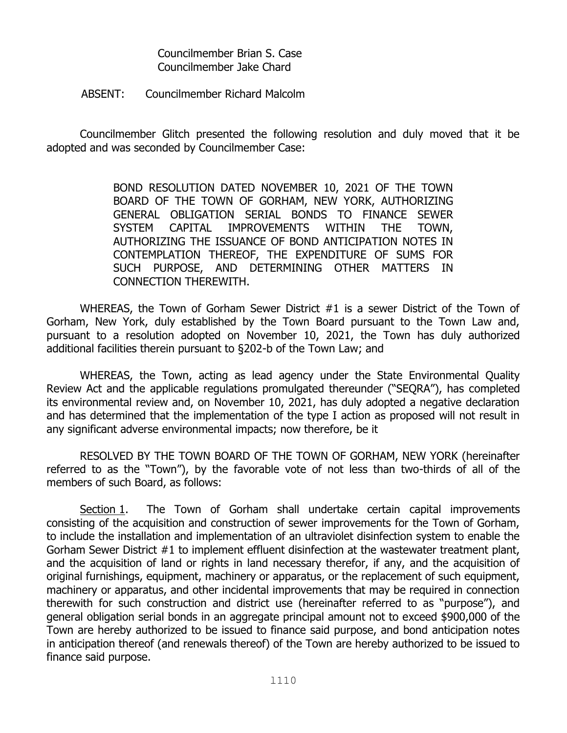Councilmember Brian S. Case Councilmember Jake Chard

#### ABSENT: Councilmember Richard Malcolm

Councilmember Glitch presented the following resolution and duly moved that it be adopted and was seconded by Councilmember Case:

> BOND RESOLUTION DATED NOVEMBER 10, 2021 OF THE TOWN BOARD OF THE TOWN OF GORHAM, NEW YORK, AUTHORIZING GENERAL OBLIGATION SERIAL BONDS TO FINANCE SEWER SYSTEM CAPITAL IMPROVEMENTS WITHIN THE TOWN, AUTHORIZING THE ISSUANCE OF BOND ANTICIPATION NOTES IN CONTEMPLATION THEREOF, THE EXPENDITURE OF SUMS FOR SUCH PURPOSE, AND DETERMINING OTHER MATTERS IN CONNECTION THEREWITH.

WHEREAS, the Town of Gorham Sewer District #1 is a sewer District of the Town of Gorham, New York, duly established by the Town Board pursuant to the Town Law and, pursuant to a resolution adopted on November 10, 2021, the Town has duly authorized additional facilities therein pursuant to §202-b of the Town Law; and

WHEREAS, the Town, acting as lead agency under the State Environmental Quality Review Act and the applicable regulations promulgated thereunder ("SEQRA"), has completed its environmental review and, on November 10, 2021, has duly adopted a negative declaration and has determined that the implementation of the type I action as proposed will not result in any significant adverse environmental impacts; now therefore, be it

RESOLVED BY THE TOWN BOARD OF THE TOWN OF GORHAM, NEW YORK (hereinafter referred to as the "Town"), by the favorable vote of not less than two-thirds of all of the members of such Board, as follows:

Section 1. The Town of Gorham shall undertake certain capital improvements consisting of the acquisition and construction of sewer improvements for the Town of Gorham, to include the installation and implementation of an ultraviolet disinfection system to enable the Gorham Sewer District #1 to implement effluent disinfection at the wastewater treatment plant, and the acquisition of land or rights in land necessary therefor, if any, and the acquisition of original furnishings, equipment, machinery or apparatus, or the replacement of such equipment, machinery or apparatus, and other incidental improvements that may be required in connection therewith for such construction and district use (hereinafter referred to as "purpose"), and general obligation serial bonds in an aggregate principal amount not to exceed \$900,000 of the Town are hereby authorized to be issued to finance said purpose, and bond anticipation notes in anticipation thereof (and renewals thereof) of the Town are hereby authorized to be issued to finance said purpose.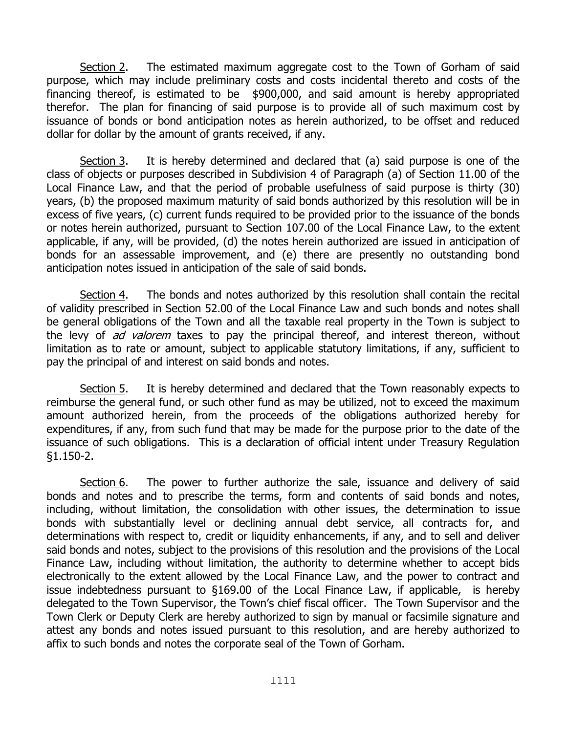Section 2. The estimated maximum aggregate cost to the Town of Gorham of said purpose, which may include preliminary costs and costs incidental thereto and costs of the financing thereof, is estimated to be \$900,000, and said amount is hereby appropriated therefor. The plan for financing of said purpose is to provide all of such maximum cost by issuance of bonds or bond anticipation notes as herein authorized, to be offset and reduced dollar for dollar by the amount of grants received, if any.

Section 3. It is hereby determined and declared that (a) said purpose is one of the class of objects or purposes described in Subdivision 4 of Paragraph (a) of Section 11.00 of the Local Finance Law, and that the period of probable usefulness of said purpose is thirty (30) years, (b) the proposed maximum maturity of said bonds authorized by this resolution will be in excess of five years, (c) current funds required to be provided prior to the issuance of the bonds or notes herein authorized, pursuant to Section 107.00 of the Local Finance Law, to the extent applicable, if any, will be provided, (d) the notes herein authorized are issued in anticipation of bonds for an assessable improvement, and (e) there are presently no outstanding bond anticipation notes issued in anticipation of the sale of said bonds.

Section 4. The bonds and notes authorized by this resolution shall contain the recital of validity prescribed in Section 52.00 of the Local Finance Law and such bonds and notes shall be general obligations of the Town and all the taxable real property in the Town is subject to the levy of ad valorem taxes to pay the principal thereof, and interest thereon, without limitation as to rate or amount, subject to applicable statutory limitations, if any, sufficient to pay the principal of and interest on said bonds and notes.

Section 5. It is hereby determined and declared that the Town reasonably expects to reimburse the general fund, or such other fund as may be utilized, not to exceed the maximum amount authorized herein, from the proceeds of the obligations authorized hereby for expenditures, if any, from such fund that may be made for the purpose prior to the date of the issuance of such obligations. This is a declaration of official intent under Treasury Regulation §1.150-2.

Section  $6.$  The power to further authorize the sale, issuance and delivery of said bonds and notes and to prescribe the terms, form and contents of said bonds and notes, including, without limitation, the consolidation with other issues, the determination to issue bonds with substantially level or declining annual debt service, all contracts for, and determinations with respect to, credit or liquidity enhancements, if any, and to sell and deliver said bonds and notes, subject to the provisions of this resolution and the provisions of the Local Finance Law, including without limitation, the authority to determine whether to accept bids electronically to the extent allowed by the Local Finance Law, and the power to contract and issue indebtedness pursuant to §169.00 of the Local Finance Law, if applicable, is hereby delegated to the Town Supervisor, the Town's chief fiscal officer. The Town Supervisor and the Town Clerk or Deputy Clerk are hereby authorized to sign by manual or facsimile signature and attest any bonds and notes issued pursuant to this resolution, and are hereby authorized to affix to such bonds and notes the corporate seal of the Town of Gorham.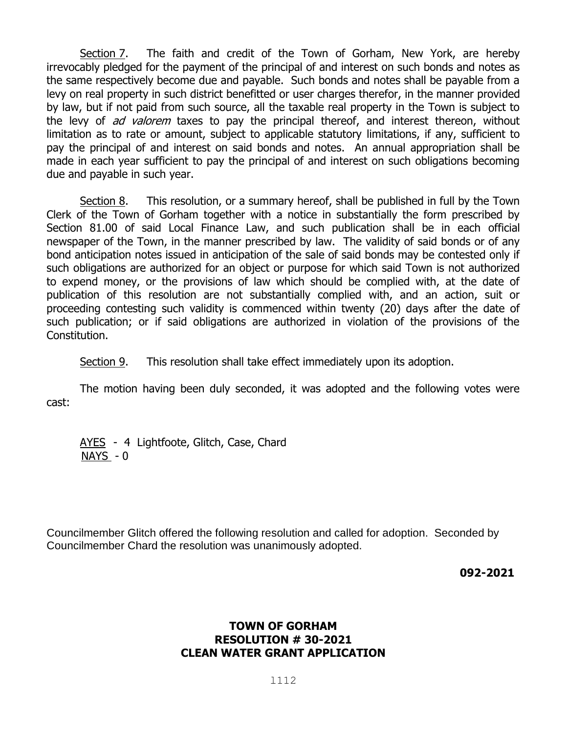Section 7. The faith and credit of the Town of Gorham, New York, are hereby irrevocably pledged for the payment of the principal of and interest on such bonds and notes as the same respectively become due and payable. Such bonds and notes shall be payable from a levy on real property in such district benefitted or user charges therefor, in the manner provided by law, but if not paid from such source, all the taxable real property in the Town is subject to the levy of *ad valorem* taxes to pay the principal thereof, and interest thereon, without limitation as to rate or amount, subject to applicable statutory limitations, if any, sufficient to pay the principal of and interest on said bonds and notes. An annual appropriation shall be made in each year sufficient to pay the principal of and interest on such obligations becoming due and payable in such year.

Section 8. This resolution, or a summary hereof, shall be published in full by the Town Clerk of the Town of Gorham together with a notice in substantially the form prescribed by Section 81.00 of said Local Finance Law, and such publication shall be in each official newspaper of the Town, in the manner prescribed by law. The validity of said bonds or of any bond anticipation notes issued in anticipation of the sale of said bonds may be contested only if such obligations are authorized for an object or purpose for which said Town is not authorized to expend money, or the provisions of law which should be complied with, at the date of publication of this resolution are not substantially complied with, and an action, suit or proceeding contesting such validity is commenced within twenty (20) days after the date of such publication; or if said obligations are authorized in violation of the provisions of the Constitution.

Section 9. This resolution shall take effect immediately upon its adoption.

The motion having been duly seconded, it was adopted and the following votes were cast:

AYES - 4 Lightfoote, Glitch, Case, Chard NAYS - 0

Councilmember Glitch offered the following resolution and called for adoption. Seconded by Councilmember Chard the resolution was unanimously adopted.

 **092-2021**

# **TOWN OF GORHAM RESOLUTION # 30-2021 CLEAN WATER GRANT APPLICATION**

l112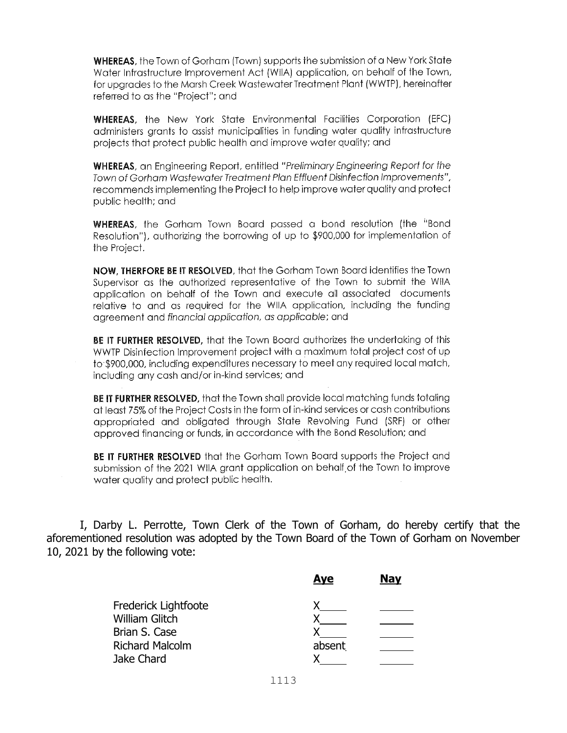WHEREAS, the Town of Gorham (Town) supports the submission of a New York State Water Infrastructure Improvement Act (WIIA) application, on behalf of the Town, for upgrades to the Marsh Creek Wastewater Treatment Plant (WWTP), hereinafter referred to as the "Project"; and

**WHEREAS**, the New York State Environmental Facilities Corporation (EFC) administers grants to assist municipalities in funding water quality infrastructure projects that protect public health and improve water quality; and

**WHEREAS**, an Engineering Report, entitled "Preliminary Engineering Report for the Town of Gorham Wastewater Treatment Plan Effluent Disinfection Improvements", recommends implementing the Project to help improve water quality and protect public health: and

**WHEREAS**, the Gorham Town Board passed a bond resolution (the "Bond Resolution"), authorizing the borrowing of up to \$900,000 for implementation of the Project.

NOW, THERFORE BE IT RESOLVED, that the Gorham Town Board identifies the Town Supervisor as the authorized representative of the Town to submit the WIIA application on behalf of the Town and execute all associated documents relative to and as required for the WIIA application, including the funding agreement and financial application, as applicable; and

BE IT FURTHER RESOLVED, that the Town Board authorizes the undertaking of this WWTP Disinfection Improvement project with a maximum total project cost of up to \$900,000, including expenditures necessary to meet any required local match, including any cash and/or in-kind services; and

BE IT FURTHER RESOLVED, that the Town shall provide local matching funds totaling at least 75% of the Project Costs in the form of in-kind services or cash contributions appropriated and obligated through State Revolving Fund (SRF) or other approved financing or funds, in accordance with the Bond Resolution; and

BE IT FURTHER RESOLVED that the Gorham Town Board supports the Project and submission of the 2021 WIIA grant application on behalf of the Town to improve water auality and protect public health.

I, Darby L. Perrotte, Town Clerk of the Town of Gorham, do hereby certify that the aforementioned resolution was adopted by the Town Board of the Town of Gorham on November 10, 2021 by the following vote:

|                        | <b>Aye</b> | <b>Nay</b> |
|------------------------|------------|------------|
| Frederick Lightfoote   |            |            |
| <b>William Glitch</b>  |            |            |
| Brian S. Case          |            |            |
| <b>Richard Malcolm</b> | absent     |            |
| Jake Chard             |            |            |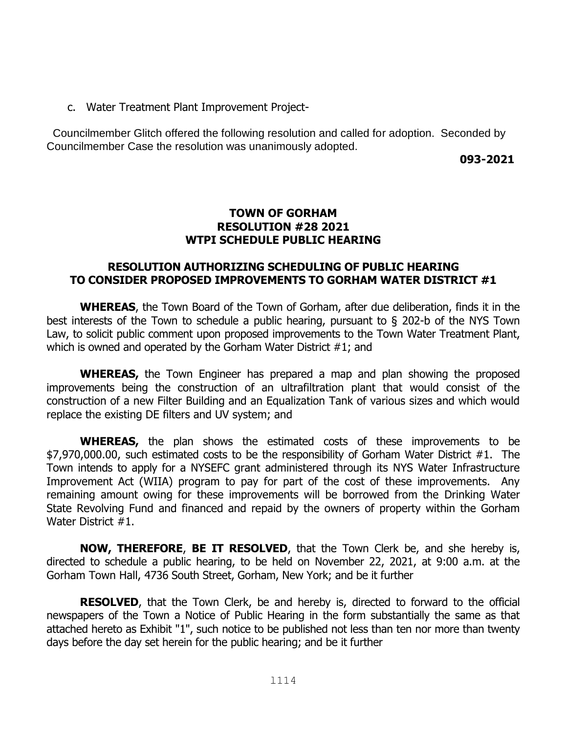c. Water Treatment Plant Improvement Project-

 Councilmember Glitch offered the following resolution and called for adoption. Seconded by Councilmember Case the resolution was unanimously adopted.

 **093-2021**

## **TOWN OF GORHAM RESOLUTION #28 2021 WTPI SCHEDULE PUBLIC HEARING**

# **RESOLUTION AUTHORIZING SCHEDULING OF PUBLIC HEARING TO CONSIDER PROPOSED IMPROVEMENTS TO GORHAM WATER DISTRICT #1**

**WHEREAS**, the Town Board of the Town of Gorham, after due deliberation, finds it in the best interests of the Town to schedule a public hearing, pursuant to § 202-b of the NYS Town Law, to solicit public comment upon proposed improvements to the Town Water Treatment Plant, which is owned and operated by the Gorham Water District #1; and

**WHEREAS,** the Town Engineer has prepared a map and plan showing the proposed improvements being the construction of an ultrafiltration plant that would consist of the construction of a new Filter Building and an Equalization Tank of various sizes and which would replace the existing DE filters and UV system; and

**WHEREAS,** the plan shows the estimated costs of these improvements to be \$7,970,000.00, such estimated costs to be the responsibility of Gorham Water District #1. The Town intends to apply for a NYSEFC grant administered through its NYS Water Infrastructure Improvement Act (WIIA) program to pay for part of the cost of these improvements. Any remaining amount owing for these improvements will be borrowed from the Drinking Water State Revolving Fund and financed and repaid by the owners of property within the Gorham Water District #1.

**NOW, THEREFORE**, **BE IT RESOLVED**, that the Town Clerk be, and she hereby is, directed to schedule a public hearing, to be held on November 22, 2021, at 9:00 a.m. at the Gorham Town Hall, 4736 South Street, Gorham, New York; and be it further

**RESOLVED**, that the Town Clerk, be and hereby is, directed to forward to the official newspapers of the Town a Notice of Public Hearing in the form substantially the same as that attached hereto as Exhibit "1", such notice to be published not less than ten nor more than twenty days before the day set herein for the public hearing; and be it further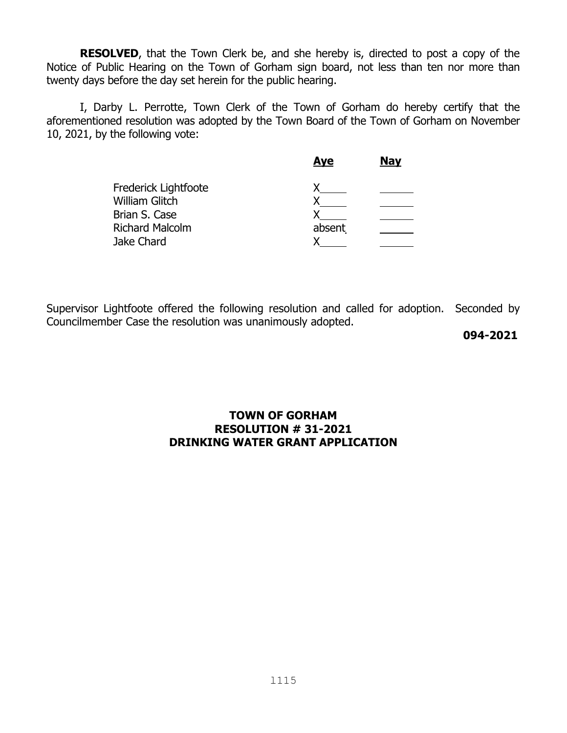**RESOLVED**, that the Town Clerk be, and she hereby is, directed to post a copy of the Notice of Public Hearing on the Town of Gorham sign board, not less than ten nor more than twenty days before the day set herein for the public hearing.

I, Darby L. Perrotte, Town Clerk of the Town of Gorham do hereby certify that the aforementioned resolution was adopted by the Town Board of the Town of Gorham on November 10, 2021, by the following vote:

|                        | <b>Aye</b> | <b>Nay</b> |
|------------------------|------------|------------|
| Frederick Lightfoote   |            |            |
| <b>William Glitch</b>  |            |            |
| Brian S. Case          |            |            |
| <b>Richard Malcolm</b> | absent     |            |
| Jake Chard             |            |            |
|                        |            |            |

Supervisor Lightfoote offered the following resolution and called for adoption. Seconded by Councilmember Case the resolution was unanimously adopted.

**094-2021**

# **TOWN OF GORHAM RESOLUTION # 31-2021 DRINKING WATER GRANT APPLICATION**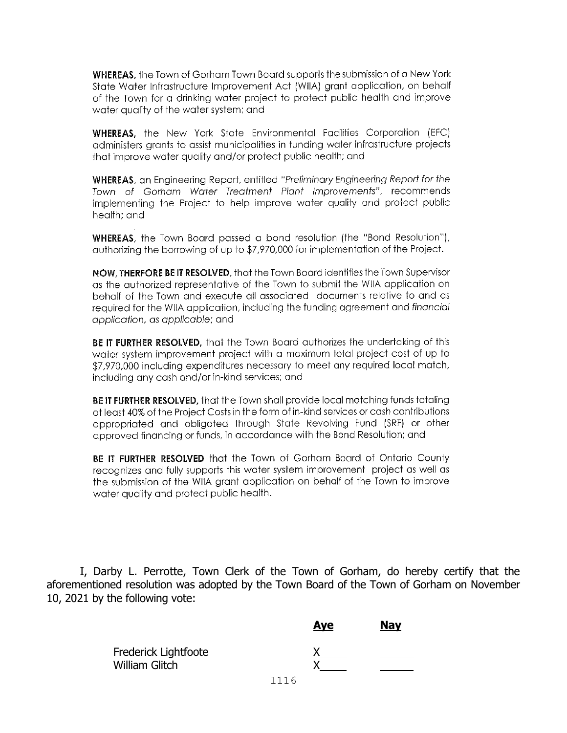**WHEREAS.** the Town of Gorham Town Board supports the submission of a New York State Water Infrastructure Improvement Act (WIIA) grant application, on behalf of the Town for a drinking water project to protect public health and improve water auality of the water system; and

**WHEREAS,** the New York State Environmental Facilities Corporation (EFC) administers arants to assist municipalities in funding water infrastructure projects that improve water quality and/or protect public health; and

**WHEREAS**, an Engineering Report, entitled "Preliminary Engineering Report for the Town of Gorham Water Treatment Plant Improvements", recommends implementing the Project to help improve water quality and protect public health: and

**WHEREAS**, the Town Board passed a bond resolution (the "Bond Resolution"), authorizing the borrowing of up to \$7,970,000 for implementation of the Project.

NOW. THERFORE BE IT RESOLVED, that the Town Board identifies the Town Supervisor as the authorized representative of the Town to submit the WIIA application on behalf of the Town and execute all associated documents relative to and as required for the WIIA application, including the funding agreement and financial application, as applicable; and

BE IT FURTHER RESOLVED. that the Town Board authorizes the undertaking of this water system improvement project with a maximum total project cost of up to \$7,970,000 including expenditures necessary to meet any required local match, including any cash and/or in-kind services; and

BE IT FURTHER RESOLVED, that the Town shall provide local matching funds totaling at least 40% of the Project Costs in the form of in-kind services or cash contributions appropriated and obligated through State Revolving Fund (SRF) or other approved financing or funds, in accordance with the Bond Resolution; and

BE IT FURTHER RESOLVED that the Town of Gorham Board of Ontario County recognizes and fully supports this water system improvement project as well as the submission of the WIIA grant application on behalf of the Town to improve water quality and protect public health.

I, Darby L. Perrotte, Town Clerk of the Town of Gorham, do hereby certify that the aforementioned resolution was adopted by the Town Board of the Town of Gorham on November 10, 2021 by the following vote:

|                                               |      | <b>Aye</b> | <b>Nay</b> |
|-----------------------------------------------|------|------------|------------|
| Frederick Lightfoote<br><b>William Glitch</b> |      |            |            |
|                                               | 1116 |            |            |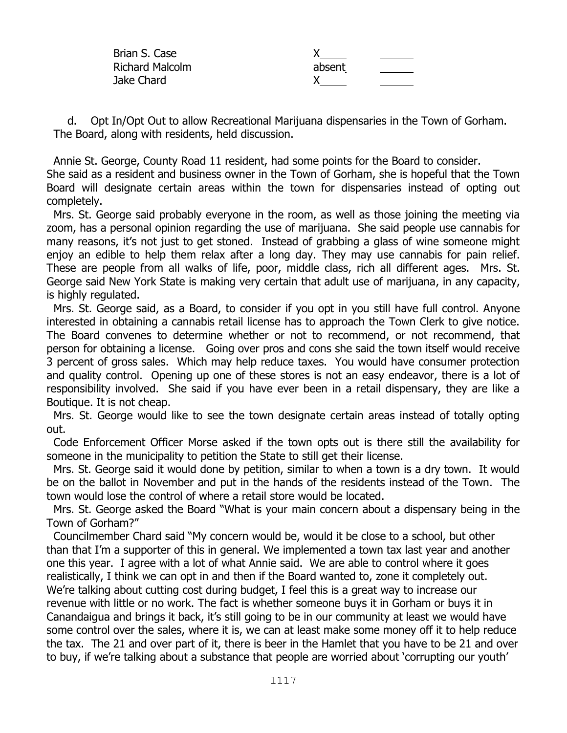| Brian S. Case          |        |  |
|------------------------|--------|--|
| <b>Richard Malcolm</b> | absent |  |
| Jake Chard             |        |  |

 d. Opt In/Opt Out to allow Recreational Marijuana dispensaries in the Town of Gorham. The Board, along with residents, held discussion.

 Annie St. George, County Road 11 resident, had some points for the Board to consider. She said as a resident and business owner in the Town of Gorham, she is hopeful that the Town Board will designate certain areas within the town for dispensaries instead of opting out completely.

 Mrs. St. George said probably everyone in the room, as well as those joining the meeting via zoom, has a personal opinion regarding the use of marijuana. She said people use cannabis for many reasons, it's not just to get stoned. Instead of grabbing a glass of wine someone might enjoy an edible to help them relax after a long day. They may use cannabis for pain relief. These are people from all walks of life, poor, middle class, rich all different ages. Mrs. St. George said New York State is making very certain that adult use of marijuana, in any capacity, is highly regulated.

 Mrs. St. George said, as a Board, to consider if you opt in you still have full control. Anyone interested in obtaining a cannabis retail license has to approach the Town Clerk to give notice. The Board convenes to determine whether or not to recommend, or not recommend, that person for obtaining a license. Going over pros and cons she said the town itself would receive 3 percent of gross sales. Which may help reduce taxes. You would have consumer protection and quality control. Opening up one of these stores is not an easy endeavor, there is a lot of responsibility involved. She said if you have ever been in a retail dispensary, they are like a Boutique. It is not cheap.

 Mrs. St. George would like to see the town designate certain areas instead of totally opting out.

 Code Enforcement Officer Morse asked if the town opts out is there still the availability for someone in the municipality to petition the State to still get their license.

 Mrs. St. George said it would done by petition, similar to when a town is a dry town. It would be on the ballot in November and put in the hands of the residents instead of the Town. The town would lose the control of where a retail store would be located.

 Mrs. St. George asked the Board "What is your main concern about a dispensary being in the Town of Gorham?"

 Councilmember Chard said "My concern would be, would it be close to a school, but other than that I'm a supporter of this in general. We implemented a town tax last year and another one this year. I agree with a lot of what Annie said. We are able to control where it goes realistically, I think we can opt in and then if the Board wanted to, zone it completely out. We're talking about cutting cost during budget, I feel this is a great way to increase our revenue with little or no work. The fact is whether someone buys it in Gorham or buys it in Canandaigua and brings it back, it's still going to be in our community at least we would have some control over the sales, where it is, we can at least make some money off it to help reduce the tax. The 21 and over part of it, there is beer in the Hamlet that you have to be 21 and over to buy, if we're talking about a substance that people are worried about 'corrupting our youth'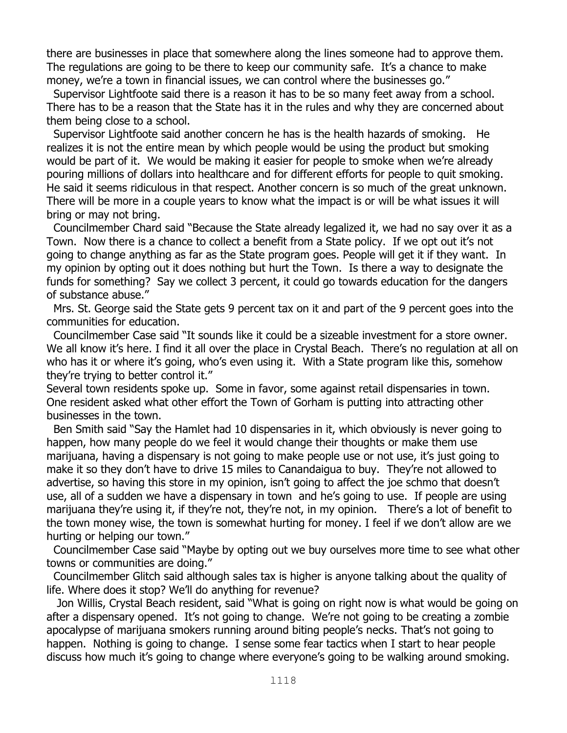there are businesses in place that somewhere along the lines someone had to approve them. The regulations are going to be there to keep our community safe. It's a chance to make money, we're a town in financial issues, we can control where the businesses go."

 Supervisor Lightfoote said there is a reason it has to be so many feet away from a school. There has to be a reason that the State has it in the rules and why they are concerned about them being close to a school.

 Supervisor Lightfoote said another concern he has is the health hazards of smoking. He realizes it is not the entire mean by which people would be using the product but smoking would be part of it. We would be making it easier for people to smoke when we're already pouring millions of dollars into healthcare and for different efforts for people to quit smoking. He said it seems ridiculous in that respect. Another concern is so much of the great unknown. There will be more in a couple years to know what the impact is or will be what issues it will bring or may not bring.

 Councilmember Chard said "Because the State already legalized it, we had no say over it as a Town. Now there is a chance to collect a benefit from a State policy. If we opt out it's not going to change anything as far as the State program goes. People will get it if they want. In my opinion by opting out it does nothing but hurt the Town. Is there a way to designate the funds for something? Say we collect 3 percent, it could go towards education for the dangers of substance abuse."

 Mrs. St. George said the State gets 9 percent tax on it and part of the 9 percent goes into the communities for education.

 Councilmember Case said "It sounds like it could be a sizeable investment for a store owner. We all know it's here. I find it all over the place in Crystal Beach. There's no regulation at all on who has it or where it's going, who's even using it. With a State program like this, somehow they're trying to better control it."

Several town residents spoke up. Some in favor, some against retail dispensaries in town. One resident asked what other effort the Town of Gorham is putting into attracting other businesses in the town.

 Ben Smith said "Say the Hamlet had 10 dispensaries in it, which obviously is never going to happen, how many people do we feel it would change their thoughts or make them use marijuana, having a dispensary is not going to make people use or not use, it's just going to make it so they don't have to drive 15 miles to Canandaigua to buy. They're not allowed to advertise, so having this store in my opinion, isn't going to affect the joe schmo that doesn't use, all of a sudden we have a dispensary in town and he's going to use. If people are using marijuana they're using it, if they're not, they're not, in my opinion. There's a lot of benefit to the town money wise, the town is somewhat hurting for money. I feel if we don't allow are we hurting or helping our town."

 Councilmember Case said "Maybe by opting out we buy ourselves more time to see what other towns or communities are doing."

 Councilmember Glitch said although sales tax is higher is anyone talking about the quality of life. Where does it stop? We'll do anything for revenue?

 Jon Willis, Crystal Beach resident, said "What is going on right now is what would be going on after a dispensary opened. It's not going to change. We're not going to be creating a zombie apocalypse of marijuana smokers running around biting people's necks. That's not going to happen. Nothing is going to change. I sense some fear tactics when I start to hear people discuss how much it's going to change where everyone's going to be walking around smoking.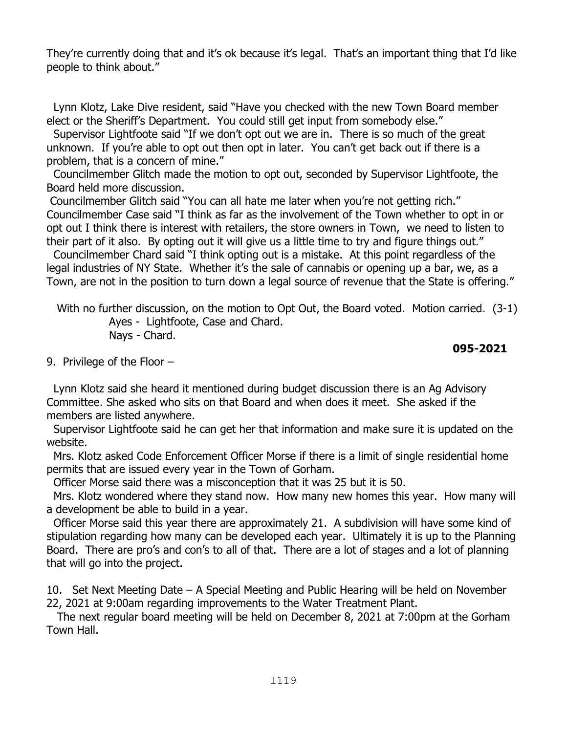They're currently doing that and it's ok because it's legal. That's an important thing that I'd like people to think about."

 Lynn Klotz, Lake Dive resident, said "Have you checked with the new Town Board member elect or the Sheriff's Department. You could still get input from somebody else."

 Supervisor Lightfoote said "If we don't opt out we are in. There is so much of the great unknown. If you're able to opt out then opt in later. You can't get back out if there is a problem, that is a concern of mine."

 Councilmember Glitch made the motion to opt out, seconded by Supervisor Lightfoote, the Board held more discussion.

Councilmember Glitch said "You can all hate me later when you're not getting rich." Councilmember Case said "I think as far as the involvement of the Town whether to opt in or opt out I think there is interest with retailers, the store owners in Town, we need to listen to their part of it also. By opting out it will give us a little time to try and figure things out."

 Councilmember Chard said "I think opting out is a mistake. At this point regardless of the legal industries of NY State. Whether it's the sale of cannabis or opening up a bar, we, as a Town, are not in the position to turn down a legal source of revenue that the State is offering."

 With no further discussion, on the motion to Opt Out, the Board voted. Motion carried. (3-1) Ayes - Lightfoote, Case and Chard. Nays - Chard.

## **095-2021**

9. Privilege of the Floor –

 Lynn Klotz said she heard it mentioned during budget discussion there is an Ag Advisory Committee. She asked who sits on that Board and when does it meet. She asked if the members are listed anywhere.

 Supervisor Lightfoote said he can get her that information and make sure it is updated on the website.

Mrs. Klotz asked Code Enforcement Officer Morse if there is a limit of single residential home permits that are issued every year in the Town of Gorham.

Officer Morse said there was a misconception that it was 25 but it is 50.

 Mrs. Klotz wondered where they stand now. How many new homes this year. How many will a development be able to build in a year.

 Officer Morse said this year there are approximately 21. A subdivision will have some kind of stipulation regarding how many can be developed each year. Ultimately it is up to the Planning Board. There are pro's and con's to all of that. There are a lot of stages and a lot of planning that will go into the project.

10. Set Next Meeting Date – A Special Meeting and Public Hearing will be held on November 22, 2021 at 9:00am regarding improvements to the Water Treatment Plant.

 The next regular board meeting will be held on December 8, 2021 at 7:00pm at the Gorham Town Hall.